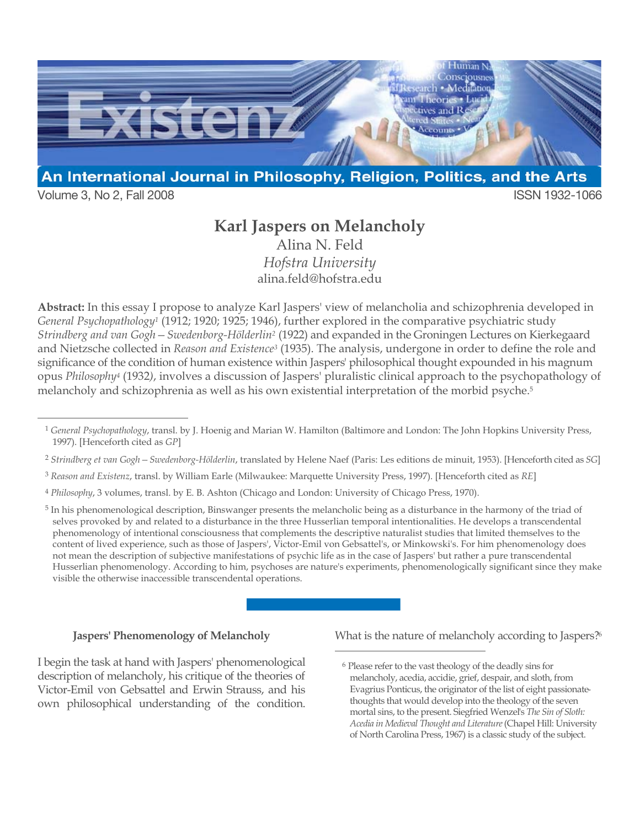

Volume 3, No 2, Fall 2008 ISSN 1932-1066

## **Karl Jaspers on Melancholy**

Alina N. Feld *Hofstra University* alina.feld@hofstra.edu

**Abstract:** In this essay I propose to analyze Karl Jaspers' view of melancholia and schizophrenia developed in *General Psychopathology1* (1912; 1920; 1925; 1946), further explored in the comparative psychiatric study *Strindberg and van Gogh—Swedenborg-Hölderlin2* (1922) and expanded in the Groningen Lectures on Kierkegaard and Nietzsche collected in *Reason and Existence3* (1935). The analysis, undergone in order to define the role and significance of the condition of human existence within Jaspers' philosophical thought expounded in his magnum opus *Philosophy4* (1932*)*, involves a discussion of Jaspers' pluralistic clinical approach to the psychopathology of melancholy and schizophrenia as well as his own existential interpretation of the morbid psyche.5

- <sup>3</sup> *Reason and Existenz*, transl. by William Earle (Milwaukee: Marquette University Press, 1997). [Henceforth cited as *RE*]
- <sup>4</sup> *Philosophy*, 3 volumes, transl. by E. B. Ashton (Chicago and London: University of Chicago Press, 1970).

5 In his phenomenological description, Binswanger presents the melancholic being as a disturbance in the harmony of the triad of selves provoked by and related to a disturbance in the three Husserlian temporal intentionalities. He develops a transcendental phenomenology of intentional consciousness that complements the descriptive naturalist studies that limited themselves to the content of lived experience, such as those of Jaspers', Victor-Emil von Gebsattel's, or Minkowski's. For him phenomenology does not mean the description of subjective manifestations of psychic life as in the case of Jaspers' but rather a pure transcendental Husserlian phenomenology. According to him, psychoses are nature's experiments, phenomenologically significant since they make visible the otherwise inaccessible transcendental operations.

 $\overline{a}$ 

## **Jaspers' Phenomenology of Melancholy**

I begin the task at hand with Jaspers' phenomenological description of melancholy, his critique of the theories of Victor-Emil von Gebsattel and Erwin Strauss, and his own philosophical understanding of the condition. What is the nature of melancholy according to Jaspers?<sup>6</sup>

 <sup>1</sup> *General Psychopathology*, transl. by J. Hoenig and Marian W. Hamilton (Baltimore and London: The John Hopkins University Press, 1997). [Henceforth cited as *GP*]

<sup>2</sup> *Strindberg et van Gogh—Swedenborg-Hölderlin*, translated by Helene Naef (Paris: Les editions de minuit, 1953). [Henceforth cited as *SG*]

<sup>6</sup> Please refer to the vast theology of the deadly sins for melancholy, acedia, accidie, grief, despair, and sloth, from Evagrius Ponticus, the originator of the list of eight passionatethoughts that would develop into the theology of the seven mortal sins, to the present. Siegfried Wenzel's *The Sin of Sloth: Acedia in Medieval Thought and Literature* (Chapel Hill: University of North Carolina Press, 1967) is a classic study of the subject.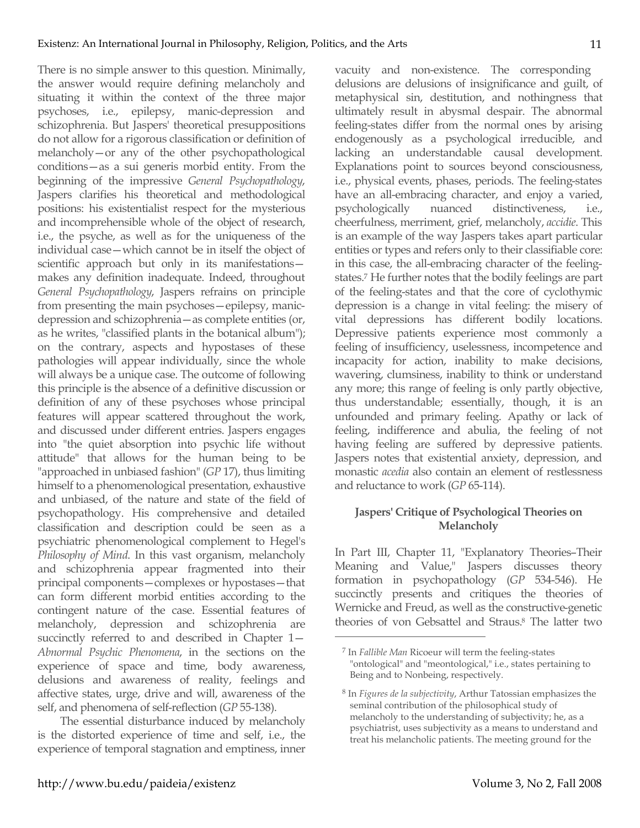There is no simple answer to this question. Minimally, the answer would require defining melancholy and situating it within the context of the three major psychoses, i.e., epilepsy, manic-depression and schizophrenia. But Jaspers' theoretical presuppositions do not allow for a rigorous classification or definition of melancholy—or any of the other psychopathological conditions—as a sui generis morbid entity. From the beginning of the impressive *General Psychopathology*, Jaspers clarifies his theoretical and methodological positions: his existentialist respect for the mysterious and incomprehensible whole of the object of research, i.e., the psyche, as well as for the uniqueness of the individual case—which cannot be in itself the object of scientific approach but only in its manifestations makes any definition inadequate. Indeed, throughout *General Psychopathology*, Jaspers refrains on principle from presenting the main psychoses—epilepsy, manicdepression and schizophrenia—as complete entities (or, as he writes, "classified plants in the botanical album"); on the contrary, aspects and hypostases of these pathologies will appear individually, since the whole will always be a unique case. The outcome of following this principle is the absence of a definitive discussion or definition of any of these psychoses whose principal features will appear scattered throughout the work, and discussed under different entries. Jaspers engages into "the quiet absorption into psychic life without attitude" that allows for the human being to be "approached in unbiased fashion" (*GP* 17), thus limiting himself to a phenomenological presentation, exhaustive and unbiased, of the nature and state of the field of psychopathology. His comprehensive and detailed classification and description could be seen as a psychiatric phenomenological complement to Hegel's *Philosophy of Mind*. In this vast organism, melancholy and schizophrenia appear fragmented into their principal components—complexes or hypostases—that can form different morbid entities according to the contingent nature of the case. Essential features of melancholy, depression and schizophrenia are succinctly referred to and described in Chapter 1— *Abnormal Psychic Phenomena*, in the sections on the experience of space and time, body awareness, delusions and awareness of reality, feelings and affective states, urge, drive and will, awareness of the self, and phenomena of self-reflection (*GP* 55-138).

The essential disturbance induced by melancholy is the distorted experience of time and self, i.e., the experience of temporal stagnation and emptiness, inner vacuity and non-existence. The corresponding delusions are delusions of insignificance and guilt, of metaphysical sin, destitution, and nothingness that ultimately result in abysmal despair. The abnormal feeling-states differ from the normal ones by arising endogenously as a psychological irreducible, and lacking an understandable causal development. Explanations point to sources beyond consciousness, i.e., physical events, phases, periods. The feeling-states have an all-embracing character, and enjoy a varied, psychologically nuanced distinctiveness, i.e., cheerfulness, merriment, grief, melancholy, *accidie*. This is an example of the way Jaspers takes apart particular entities or types and refers only to their classifiable core: in this case, the all-embracing character of the feelingstates.7 He further notes that the bodily feelings are part of the feeling-states and that the core of cyclothymic depression is a change in vital feeling: the misery of vital depressions has different bodily locations. Depressive patients experience most commonly a feeling of insufficiency, uselessness, incompetence and incapacity for action, inability to make decisions, wavering, clumsiness, inability to think or understand any more; this range of feeling is only partly objective, thus understandable; essentially, though, it is an unfounded and primary feeling. Apathy or lack of feeling, indifference and abulia, the feeling of not having feeling are suffered by depressive patients. Jaspers notes that existential anxiety, depression, and monastic *acedia* also contain an element of restlessness and reluctance to work (*GP* 65-114).

## **Jaspers' Critique of Psychological Theories on Melancholy**

In Part III, Chapter 11, "Explanatory Theories–Their Meaning and Value," Jaspers discusses theory formation in psychopathology (*GP* 534-546). He succinctly presents and critiques the theories of Wernicke and Freud, as well as the constructive-genetic theories of von Gebsattel and Straus.8 The latter two

<sup>7</sup> In *Fallible Man* Ricoeur will term the feeling-states "ontological" and "meontological," i.e., states pertaining to Being and to Nonbeing, respectively.

<sup>8</sup> In *Figures de la subjectivity*, Arthur Tatossian emphasizes the seminal contribution of the philosophical study of melancholy to the understanding of subjectivity; he, as a psychiatrist, uses subjectivity as a means to understand and treat his melancholic patients. The meeting ground for the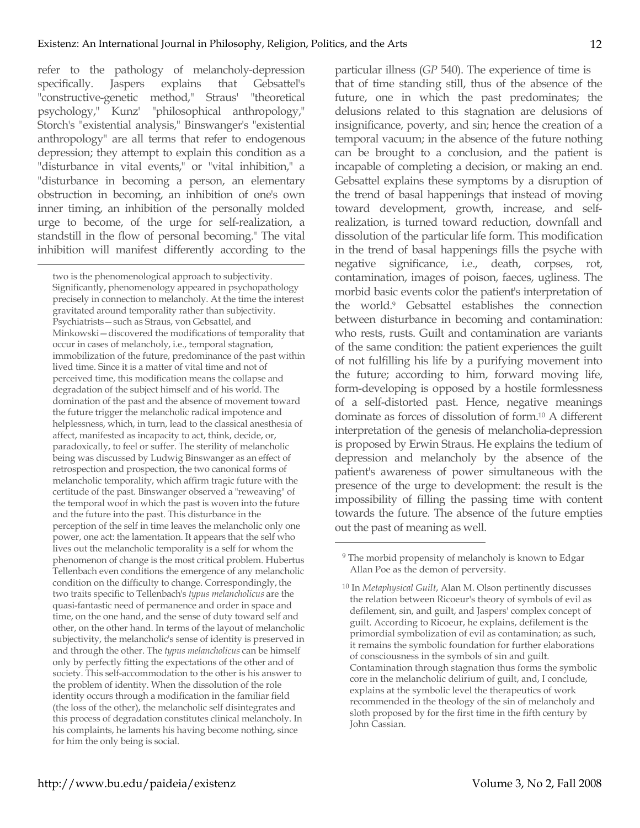refer to the pathology of melancholy-depression specifically. Jaspers explains that Gebsattel's "constructive-genetic method," Straus' "theoretical psychology," Kunz' "philosophical anthropology," Storch's "existential analysis," Binswanger's "existential anthropology" are all terms that refer to endogenous depression; they attempt to explain this condition as a "disturbance in vital events," or "vital inhibition," a "disturbance in becoming a person, an elementary obstruction in becoming, an inhibition of one's own inner timing, an inhibition of the personally molded urge to become, of the urge for self-realization, a standstill in the flow of personal becoming." The vital inhibition will manifest differently according to the

 $\overline{a}$ 

two is the phenomenological approach to subjectivity. Significantly, phenomenology appeared in psychopathology precisely in connection to melancholy. At the time the interest gravitated around temporality rather than subjectivity. Psychiatrists—such as Straus, von Gebsattel, and Minkowski—discovered the modifications of temporality that occur in cases of melancholy, i.e., temporal stagnation, immobilization of the future, predominance of the past within lived time. Since it is a matter of vital time and not of perceived time, this modification means the collapse and degradation of the subject himself and of his world. The domination of the past and the absence of movement toward the future trigger the melancholic radical impotence and helplessness, which, in turn, lead to the classical anesthesia of affect, manifested as incapacity to act, think, decide, or, paradoxically, to feel or suffer. The sterility of melancholic being was discussed by Ludwig Binswanger as an effect of retrospection and prospection, the two canonical forms of melancholic temporality, which affirm tragic future with the certitude of the past. Binswanger observed a "reweaving" of the temporal woof in which the past is woven into the future and the future into the past. This disturbance in the perception of the self in time leaves the melancholic only one power, one act: the lamentation. It appears that the self who lives out the melancholic temporality is a self for whom the phenomenon of change is the most critical problem. Hubertus Tellenbach even conditions the emergence of any melancholic condition on the difficulty to change. Correspondingly, the two traits specific to Tellenbach's *typus melancholicus* are the quasi-fantastic need of permanence and order in space and time, on the one hand, and the sense of duty toward self and other, on the other hand. In terms of the layout of melancholic subjectivity, the melancholic's sense of identity is preserved in and through the other. The *typus melancholicus* can be himself only by perfectly fitting the expectations of the other and of society. This self-accommodation to the other is his answer to the problem of identity. When the dissolution of the role identity occurs through a modification in the familiar field (the loss of the other), the melancholic self disintegrates and this process of degradation constitutes clinical melancholy. In his complaints, he laments his having become nothing, since for him the only being is social.

particular illness (*GP* 540). The experience of time is that of time standing still, thus of the absence of the future, one in which the past predominates; the delusions related to this stagnation are delusions of insignificance, poverty, and sin; hence the creation of a temporal vacuum; in the absence of the future nothing can be brought to a conclusion, and the patient is incapable of completing a decision, or making an end. Gebsattel explains these symptoms by a disruption of the trend of basal happenings that instead of moving toward development, growth, increase, and selfrealization, is turned toward reduction, downfall and dissolution of the particular life form. This modification in the trend of basal happenings fills the psyche with negative significance, i.e., death, corpses, rot, contamination, images of poison, faeces, ugliness. The morbid basic events color the patient's interpretation of the world.9 Gebsattel establishes the connection between disturbance in becoming and contamination: who rests, rusts. Guilt and contamination are variants of the same condition: the patient experiences the guilt of not fulfilling his life by a purifying movement into the future; according to him, forward moving life, form-developing is opposed by a hostile formlessness of a self-distorted past. Hence, negative meanings dominate as forces of dissolution of form.10 A different interpretation of the genesis of melancholia-depression is proposed by Erwin Straus. He explains the tedium of depression and melancholy by the absence of the patient's awareness of power simultaneous with the presence of the urge to development: the result is the impossibility of filling the passing time with content towards the future. The absence of the future empties out the past of meaning as well.

<sup>&</sup>lt;sup>9</sup> The morbid propensity of melancholy is known to Edgar Allan Poe as the demon of perversity.

<sup>10</sup> In *Metaphysical Guilt*, Alan M. Olson pertinently discusses the relation between Ricoeur's theory of symbols of evil as defilement, sin, and guilt, and Jaspers' complex concept of guilt. According to Ricoeur, he explains, defilement is the primordial symbolization of evil as contamination; as such, it remains the symbolic foundation for further elaborations of consciousness in the symbols of sin and guilt. Contamination through stagnation thus forms the symbolic core in the melancholic delirium of guilt, and, I conclude, explains at the symbolic level the therapeutics of work recommended in the theology of the sin of melancholy and sloth proposed by for the first time in the fifth century by John Cassian.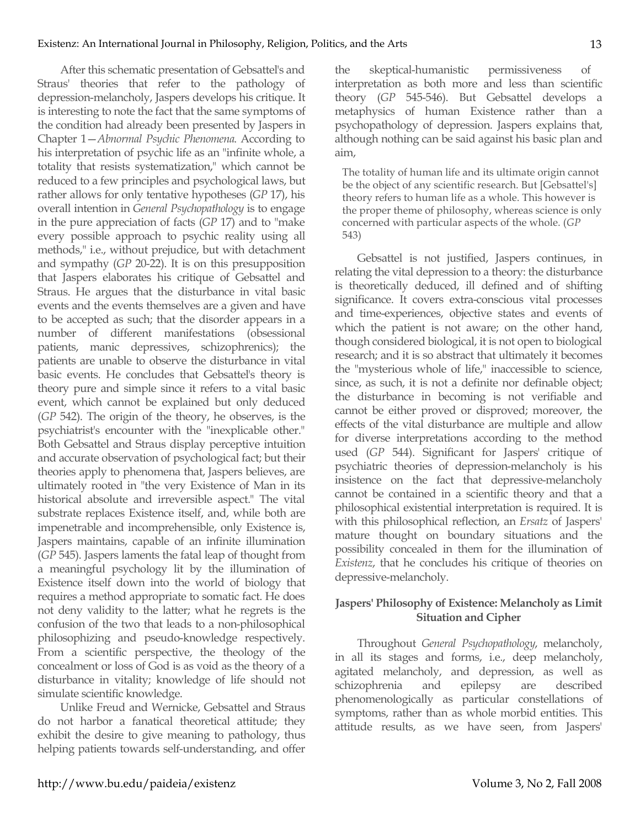After this schematic presentation of Gebsattel's and Straus' theories that refer to the pathology of depression-melancholy, Jaspers develops his critique. It is interesting to note the fact that the same symptoms of the condition had already been presented by Jaspers in Chapter 1—*Abnormal Psychic Phenomena*. According to his interpretation of psychic life as an "infinite whole, a totality that resists systematization," which cannot be reduced to a few principles and psychological laws, but rather allows for only tentative hypotheses (*GP* 17), his overall intention in *General Psychopathology* is to engage in the pure appreciation of facts (*GP* 17) and to "make every possible approach to psychic reality using all methods," i.e., without prejudice, but with detachment and sympathy (*GP* 20-22). It is on this presupposition that Jaspers elaborates his critique of Gebsattel and Straus. He argues that the disturbance in vital basic events and the events themselves are a given and have to be accepted as such; that the disorder appears in a number of different manifestations (obsessional patients, manic depressives, schizophrenics); the patients are unable to observe the disturbance in vital basic events. He concludes that Gebsattel's theory is theory pure and simple since it refers to a vital basic event, which cannot be explained but only deduced (*GP* 542). The origin of the theory, he observes, is the psychiatrist's encounter with the "inexplicable other." Both Gebsattel and Straus display perceptive intuition and accurate observation of psychological fact; but their theories apply to phenomena that, Jaspers believes, are ultimately rooted in "the very Existence of Man in its historical absolute and irreversible aspect." The vital substrate replaces Existence itself, and, while both are impenetrable and incomprehensible, only Existence is, Jaspers maintains, capable of an infinite illumination (*GP* 545). Jaspers laments the fatal leap of thought from a meaningful psychology lit by the illumination of Existence itself down into the world of biology that requires a method appropriate to somatic fact. He does not deny validity to the latter; what he regrets is the confusion of the two that leads to a non-philosophical philosophizing and pseudo-knowledge respectively. From a scientific perspective, the theology of the concealment or loss of God is as void as the theory of a disturbance in vitality; knowledge of life should not simulate scientific knowledge.

Unlike Freud and Wernicke, Gebsattel and Straus do not harbor a fanatical theoretical attitude; they exhibit the desire to give meaning to pathology, thus helping patients towards self-understanding, and offer

the skeptical-humanistic permissiveness of interpretation as both more and less than scientific theory (*GP* 545-546). But Gebsattel develops a metaphysics of human Existence rather than a psychopathology of depression. Jaspers explains that, although nothing can be said against his basic plan and aim,

The totality of human life and its ultimate origin cannot be the object of any scientific research. But [Gebsattel's] theory refers to human life as a whole. This however is the proper theme of philosophy, whereas science is only concerned with particular aspects of the whole. (*GP* 543)

Gebsattel is not justified, Jaspers continues, in relating the vital depression to a theory: the disturbance is theoretically deduced, ill defined and of shifting significance. It covers extra-conscious vital processes and time-experiences, objective states and events of which the patient is not aware; on the other hand, though considered biological, it is not open to biological research; and it is so abstract that ultimately it becomes the "mysterious whole of life," inaccessible to science, since, as such, it is not a definite nor definable object; the disturbance in becoming is not verifiable and cannot be either proved or disproved; moreover, the effects of the vital disturbance are multiple and allow for diverse interpretations according to the method used (*GP* 544). Significant for Jaspers' critique of psychiatric theories of depression-melancholy is his insistence on the fact that depressive-melancholy cannot be contained in a scientific theory and that a philosophical existential interpretation is required. It is with this philosophical reflection, an *Ersatz* of Jaspers' mature thought on boundary situations and the possibility concealed in them for the illumination of *Existenz*, that he concludes his critique of theories on depressive-melancholy.

## **Jaspers' Philosophy of Existence: Melancholy as Limit Situation and Cipher**

Throughout *General Psychopathology*, melancholy, in all its stages and forms, i.e., deep melancholy, agitated melancholy, and depression, as well as schizophrenia and epilepsy are described phenomenologically as particular constellations of symptoms, rather than as whole morbid entities. This attitude results, as we have seen, from Jaspers'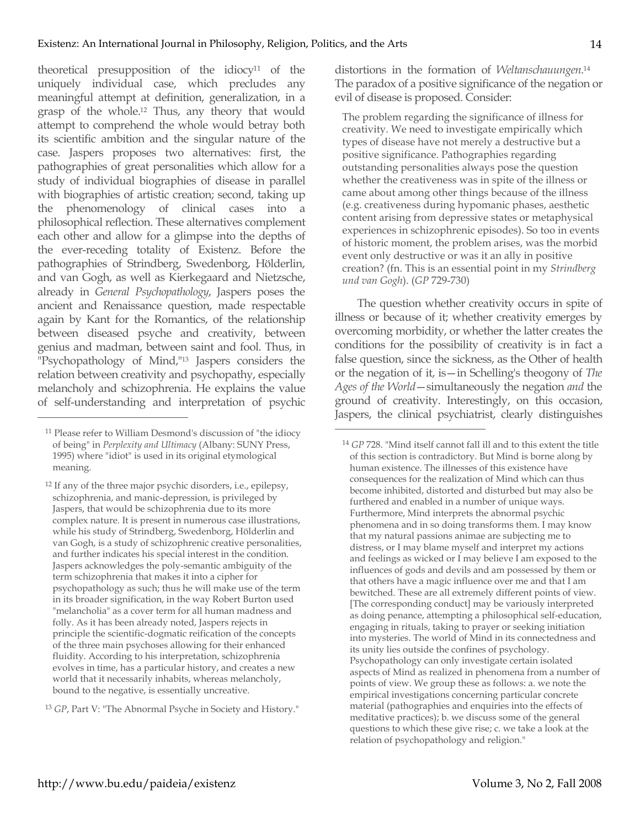theoretical presupposition of the idiocy<sup>11</sup> of the uniquely individual case, which precludes any meaningful attempt at definition, generalization, in a grasp of the whole.12 Thus, any theory that would attempt to comprehend the whole would betray both its scientific ambition and the singular nature of the case. Jaspers proposes two alternatives: first, the pathographies of great personalities which allow for a study of individual biographies of disease in parallel with biographies of artistic creation; second, taking up the phenomenology of clinical cases into a philosophical reflection. These alternatives complement each other and allow for a glimpse into the depths of the ever-receding totality of Existenz. Before the pathographies of Strindberg, Swedenborg, Hölderlin, and van Gogh, as well as Kierkegaard and Nietzsche, already in *General Psychopathology*, Jaspers poses the ancient and Renaissance question, made respectable again by Kant for the Romantics, of the relationship between diseased psyche and creativity, between genius and madman, between saint and fool. Thus, in "Psychopathology of Mind,"13 Jaspers considers the relation between creativity and psychopathy, especially melancholy and schizophrenia. He explains the value of self-understanding and interpretation of psychic

 $\overline{a}$ 

<sup>13</sup> *GP*, Part V: "The Abnormal Psyche in Society and History."

distortions in the formation of *Weltanschauungen*. 14 The paradox of a positive significance of the negation or evil of disease is proposed. Consider:

The problem regarding the significance of illness for creativity. We need to investigate empirically which types of disease have not merely a destructive but a positive significance. Pathographies regarding outstanding personalities always pose the question whether the creativeness was in spite of the illness or came about among other things because of the illness (e.g. creativeness during hypomanic phases, aesthetic content arising from depressive states or metaphysical experiences in schizophrenic episodes). So too in events of historic moment, the problem arises, was the morbid event only destructive or was it an ally in positive creation? (fn. This is an essential point in my *Strindberg und van Gogh*). (*GP* 729-730)

The question whether creativity occurs in spite of illness or because of it; whether creativity emerges by overcoming morbidity, or whether the latter creates the conditions for the possibility of creativity is in fact a false question, since the sickness, as the Other of health or the negation of it, is—in Schelling's theogony of *The Ages of the World*—simultaneously the negation *and* the ground of creativity. Interestingly, on this occasion, Jaspers, the clinical psychiatrist, clearly distinguishes

<sup>11</sup> Please refer to William Desmond's discussion of "the idiocy of being" in *Perplexity and Ultimacy* (Albany: SUNY Press, 1995) where "idiot" is used in its original etymological meaning.

<sup>12</sup> If any of the three major psychic disorders, i.e., epilepsy, schizophrenia, and manic-depression, is privileged by Jaspers, that would be schizophrenia due to its more complex nature. It is present in numerous case illustrations, while his study of Strindberg, Swedenborg, Hölderlin and van Gogh, is a study of schizophrenic creative personalities, and further indicates his special interest in the condition. Jaspers acknowledges the poly-semantic ambiguity of the term schizophrenia that makes it into a cipher for psychopathology as such; thus he will make use of the term in its broader signification, in the way Robert Burton used "melancholia" as a cover term for all human madness and folly. As it has been already noted, Jaspers rejects in principle the scientific-dogmatic reification of the concepts of the three main psychoses allowing for their enhanced fluidity. According to his interpretation, schizophrenia evolves in time, has a particular history, and creates a new world that it necessarily inhabits, whereas melancholy, bound to the negative, is essentially uncreative.

<sup>14</sup> *GP* 728. "Mind itself cannot fall ill and to this extent the title of this section is contradictory. But Mind is borne along by human existence. The illnesses of this existence have consequences for the realization of Mind which can thus become inhibited, distorted and disturbed but may also be furthered and enabled in a number of unique ways. Furthermore, Mind interprets the abnormal psychic phenomena and in so doing transforms them. I may know that my natural passions animae are subjecting me to distress, or I may blame myself and interpret my actions and feelings as wicked or I may believe I am exposed to the influences of gods and devils and am possessed by them or that others have a magic influence over me and that I am bewitched. These are all extremely different points of view. [The corresponding conduct] may be variously interpreted as doing penance, attempting a philosophical self-education, engaging in rituals, taking to prayer or seeking initiation into mysteries. The world of Mind in its connectedness and its unity lies outside the confines of psychology. Psychopathology can only investigate certain isolated aspects of Mind as realized in phenomena from a number of points of view. We group these as follows: a. we note the empirical investigations concerning particular concrete material (pathographies and enquiries into the effects of meditative practices); b. we discuss some of the general questions to which these give rise; c. we take a look at the relation of psychopathology and religion."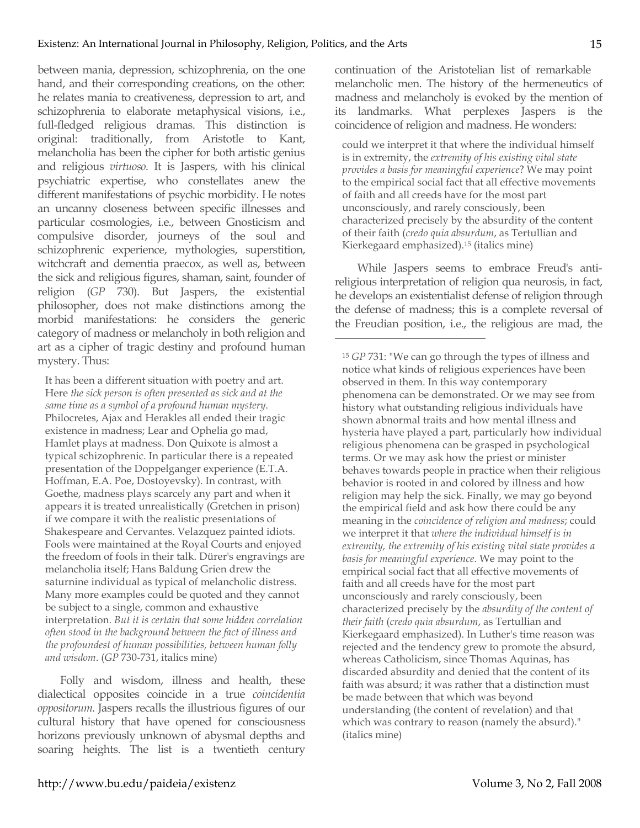between mania, depression, schizophrenia, on the one hand, and their corresponding creations, on the other: he relates mania to creativeness, depression to art, and schizophrenia to elaborate metaphysical visions, i.e., full-fledged religious dramas. This distinction is original: traditionally, from Aristotle to Kant, melancholia has been the cipher for both artistic genius and religious *virtuoso*. It is Jaspers, with his clinical psychiatric expertise, who constellates anew the different manifestations of psychic morbidity. He notes an uncanny closeness between specific illnesses and particular cosmologies, i.e., between Gnosticism and compulsive disorder, journeys of the soul and schizophrenic experience, mythologies, superstition, witchcraft and dementia praecox, as well as, between the sick and religious figures, shaman, saint, founder of religion (*GP* 730). But Jaspers, the existential philosopher, does not make distinctions among the morbid manifestations: he considers the generic category of madness or melancholy in both religion and art as a cipher of tragic destiny and profound human mystery. Thus:

It has been a different situation with poetry and art. Here *the sick person is often presented as sick and at the same time as a symbol of a profound human mystery*. Philocretes, Ajax and Herakles all ended their tragic existence in madness; Lear and Ophelia go mad, Hamlet plays at madness. Don Quixote is almost a typical schizophrenic. In particular there is a repeated presentation of the Doppelganger experience (E.T.A. Hoffman, E.A. Poe, Dostoyevsky). In contrast, with Goethe, madness plays scarcely any part and when it appears it is treated unrealistically (Gretchen in prison) if we compare it with the realistic presentations of Shakespeare and Cervantes. Velazquez painted idiots. Fools were maintained at the Royal Courts and enjoyed the freedom of fools in their talk. Dürer's engravings are melancholia itself; Hans Baldung Grien drew the saturnine individual as typical of melancholic distress. Many more examples could be quoted and they cannot be subject to a single, common and exhaustive interpretation. *But it is certain that some hidden correlation often stood in the background between the fact of illness and the profoundest of human possibilities, between human folly and wisdom*. (*GP* 730-731, italics mine)

Folly and wisdom, illness and health, these dialectical opposites coincide in a true *coincidentia oppositorum*. Jaspers recalls the illustrious figures of our cultural history that have opened for consciousness horizons previously unknown of abysmal depths and soaring heights. The list is a twentieth century

continuation of the Aristotelian list of remarkable melancholic men. The history of the hermeneutics of madness and melancholy is evoked by the mention of its landmarks. What perplexes Jaspers is the coincidence of religion and madness. He wonders:

could we interpret it that where the individual himself is in extremity, the *extremity of his existing vital state provides a basis for meaningful experience*? We may point to the empirical social fact that all effective movements of faith and all creeds have for the most part unconsciously, and rarely consciously, been characterized precisely by the absurdity of the content of their faith (*credo quia absurdum*, as Tertullian and Kierkegaard emphasized).15 (italics mine)

While Jaspers seems to embrace Freud's antireligious interpretation of religion qua neurosis, in fact, he develops an existentialist defense of religion through the defense of madness; this is a complete reversal of the Freudian position, i.e., the religious are mad, the

<sup>15</sup> *GP* 731: "We can go through the types of illness and notice what kinds of religious experiences have been observed in them. In this way contemporary phenomena can be demonstrated. Or we may see from history what outstanding religious individuals have shown abnormal traits and how mental illness and hysteria have played a part, particularly how individual religious phenomena can be grasped in psychological terms. Or we may ask how the priest or minister behaves towards people in practice when their religious behavior is rooted in and colored by illness and how religion may help the sick. Finally, we may go beyond the empirical field and ask how there could be any meaning in the *coincidence of religion and madness*; could we interpret it that *where the individual himself is in extremity, the extremity of his existing vital state provides a basis for meaningful experience.* We may point to the empirical social fact that all effective movements of faith and all creeds have for the most part unconsciously and rarely consciously, been characterized precisely by the *absurdity of the content of their faith* (*credo quia absurdum*, as Tertullian and Kierkegaard emphasized). In Luther's time reason was rejected and the tendency grew to promote the absurd, whereas Catholicism, since Thomas Aquinas, has discarded absurdity and denied that the content of its faith was absurd; it was rather that a distinction must be made between that which was beyond understanding (the content of revelation) and that which was contrary to reason (namely the absurd)." (italics mine)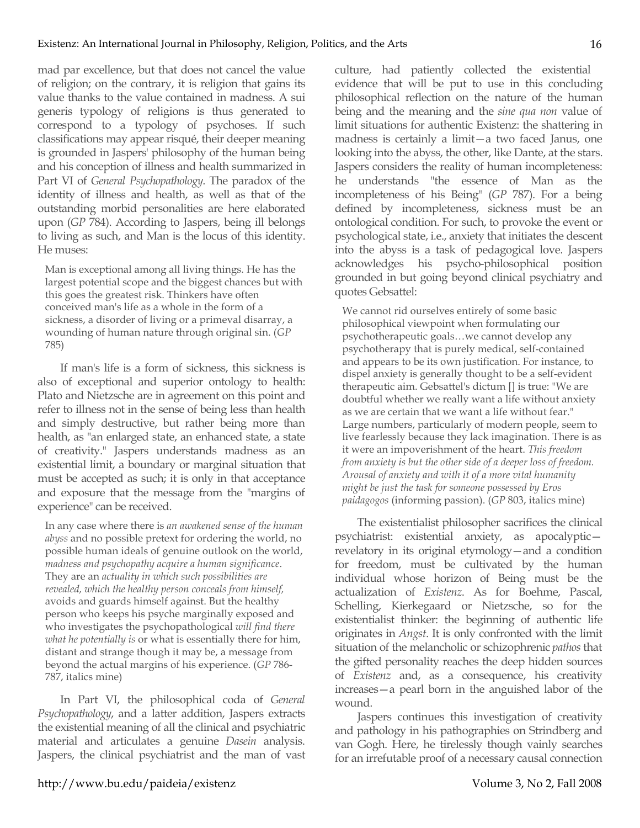mad par excellence, but that does not cancel the value of religion; on the contrary, it is religion that gains its value thanks to the value contained in madness. A sui generis typology of religions is thus generated to correspond to a typology of psychoses. If such classifications may appear risqué, their deeper meaning is grounded in Jaspers' philosophy of the human being and his conception of illness and health summarized in Part VI of *General Psychopathology*. The paradox of the identity of illness and health, as well as that of the outstanding morbid personalities are here elaborated upon (*GP* 784). According to Jaspers, being ill belongs to living as such, and Man is the locus of this identity. He muses:

Man is exceptional among all living things. He has the largest potential scope and the biggest chances but with this goes the greatest risk. Thinkers have often conceived man's life as a whole in the form of a sickness, a disorder of living or a primeval disarray, a wounding of human nature through original sin. (*GP* 785)

If man's life is a form of sickness, this sickness is also of exceptional and superior ontology to health: Plato and Nietzsche are in agreement on this point and refer to illness not in the sense of being less than health and simply destructive, but rather being more than health, as "an enlarged state, an enhanced state, a state of creativity." Jaspers understands madness as an existential limit, a boundary or marginal situation that must be accepted as such; it is only in that acceptance and exposure that the message from the "margins of experience" can be received.

In any case where there is *an awakened sense of the human abyss* and no possible pretext for ordering the world, no possible human ideals of genuine outlook on the world, *madness and psychopathy acquire a human significance*. They are an *actuality in which such possibilities are revealed, which the healthy person conceals from himself,* avoids and guards himself against. But the healthy person who keeps his psyche marginally exposed and who investigates the psychopathological *will find there what he potentially is* or what is essentially there for him, distant and strange though it may be, a message from beyond the actual margins of his experience. (*GP* 786- 787, italics mine)

In Part VI, the philosophical coda of *General Psychopathology*, and a latter addition, Jaspers extracts the existential meaning of all the clinical and psychiatric material and articulates a genuine *Dasein* analysis. Jaspers, the clinical psychiatrist and the man of vast culture, had patiently collected the existential evidence that will be put to use in this concluding philosophical reflection on the nature of the human being and the meaning and the *sine qua non* value of limit situations for authentic Existenz: the shattering in madness is certainly a limit—a two faced Janus, one looking into the abyss, the other, like Dante, at the stars. Jaspers considers the reality of human incompleteness: he understands "the essence of Man as the incompleteness of his Being" (*GP* 787). For a being defined by incompleteness, sickness must be an ontological condition. For such, to provoke the event or psychological state, i.e., anxiety that initiates the descent into the abyss is a task of pedagogical love. Jaspers acknowledges his psycho-philosophical position grounded in but going beyond clinical psychiatry and quotes Gebsattel:

We cannot rid ourselves entirely of some basic philosophical viewpoint when formulating our psychotherapeutic goals…we cannot develop any psychotherapy that is purely medical, self-contained and appears to be its own justification. For instance, to dispel anxiety is generally thought to be a self-evident therapeutic aim. Gebsattel's dictum [] is true: "We are doubtful whether we really want a life without anxiety as we are certain that we want a life without fear." Large numbers, particularly of modern people, seem to live fearlessly because they lack imagination. There is as it were an impoverishment of the heart. *This freedom from anxiety is but the other side of a deeper loss of freedom. Arousal of anxiety and with it of a more vital humanity might be just the task for someone possessed by Eros paidagogos* (informing passion). (*GP* 803, italics mine)

The existentialist philosopher sacrifices the clinical psychiatrist: existential anxiety, as apocalyptic revelatory in its original etymology—and a condition for freedom, must be cultivated by the human individual whose horizon of Being must be the actualization of *Existenz*. As for Boehme, Pascal, Schelling, Kierkegaard or Nietzsche, so for the existentialist thinker: the beginning of authentic life originates in *Angst*. It is only confronted with the limit situation of the melancholic or schizophrenic *pathos* that the gifted personality reaches the deep hidden sources of *Existenz* and, as a consequence, his creativity increases—a pearl born in the anguished labor of the wound.

Jaspers continues this investigation of creativity and pathology in his pathographies on Strindberg and van Gogh. Here, he tirelessly though vainly searches for an irrefutable proof of a necessary causal connection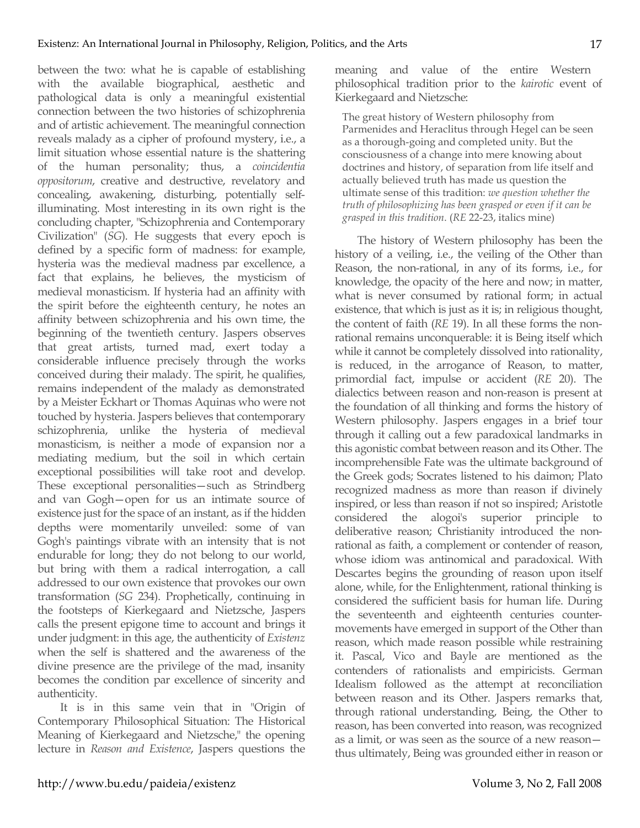between the two: what he is capable of establishing with the available biographical, aesthetic and pathological data is only a meaningful existential connection between the two histories of schizophrenia and of artistic achievement. The meaningful connection reveals malady as a cipher of profound mystery, i.e., a limit situation whose essential nature is the shattering of the human personality; thus, a *coincidentia oppositorum*, creative and destructive, revelatory and concealing, awakening, disturbing, potentially selfilluminating. Most interesting in its own right is the concluding chapter, "Schizophrenia and Contemporary Civilization" (*SG*). He suggests that every epoch is defined by a specific form of madness: for example, hysteria was the medieval madness par excellence, a fact that explains, he believes, the mysticism of medieval monasticism. If hysteria had an affinity with the spirit before the eighteenth century, he notes an affinity between schizophrenia and his own time, the beginning of the twentieth century. Jaspers observes that great artists, turned mad, exert today a considerable influence precisely through the works conceived during their malady. The spirit, he qualifies, remains independent of the malady as demonstrated by a Meister Eckhart or Thomas Aquinas who were not touched by hysteria. Jaspers believes that contemporary schizophrenia, unlike the hysteria of medieval monasticism, is neither a mode of expansion nor a mediating medium, but the soil in which certain exceptional possibilities will take root and develop. These exceptional personalities—such as Strindberg and van Gogh—open for us an intimate source of existence just for the space of an instant, as if the hidden depths were momentarily unveiled: some of van Gogh's paintings vibrate with an intensity that is not endurable for long; they do not belong to our world, but bring with them a radical interrogation, a call addressed to our own existence that provokes our own transformation (*SG* 234). Prophetically, continuing in the footsteps of Kierkegaard and Nietzsche, Jaspers calls the present epigone time to account and brings it under judgment: in this age, the authenticity of *Existenz* when the self is shattered and the awareness of the divine presence are the privilege of the mad, insanity becomes the condition par excellence of sincerity and authenticity.

It is in this same vein that in "Origin of Contemporary Philosophical Situation: The Historical Meaning of Kierkegaard and Nietzsche," the opening lecture in *Reason and Existence*, Jaspers questions the meaning and value of the entire Western philosophical tradition prior to the *kairotic* event of Kierkegaard and Nietzsche:

The great history of Western philosophy from Parmenides and Heraclitus through Hegel can be seen as a thorough-going and completed unity. But the consciousness of a change into mere knowing about doctrines and history, of separation from life itself and actually believed truth has made us question the ultimate sense of this tradition: *we question whether the truth of philosophizing has been grasped or even if it can be grasped in this tradition*. (*RE* 22-23, italics mine)

The history of Western philosophy has been the history of a veiling, i.e., the veiling of the Other than Reason, the non-rational, in any of its forms, i.e., for knowledge, the opacity of the here and now; in matter, what is never consumed by rational form; in actual existence, that which is just as it is; in religious thought, the content of faith (*RE* 19). In all these forms the nonrational remains unconquerable: it is Being itself which while it cannot be completely dissolved into rationality, is reduced, in the arrogance of Reason, to matter, primordial fact, impulse or accident (*RE* 20). The dialectics between reason and non-reason is present at the foundation of all thinking and forms the history of Western philosophy. Jaspers engages in a brief tour through it calling out a few paradoxical landmarks in this agonistic combat between reason and its Other. The incomprehensible Fate was the ultimate background of the Greek gods; Socrates listened to his daimon; Plato recognized madness as more than reason if divinely inspired, or less than reason if not so inspired; Aristotle considered the alogoi's superior principle to deliberative reason; Christianity introduced the nonrational as faith, a complement or contender of reason, whose idiom was antinomical and paradoxical. With Descartes begins the grounding of reason upon itself alone, while, for the Enlightenment, rational thinking is considered the sufficient basis for human life. During the seventeenth and eighteenth centuries countermovements have emerged in support of the Other than reason, which made reason possible while restraining it. Pascal, Vico and Bayle are mentioned as the contenders of rationalists and empiricists. German Idealism followed as the attempt at reconciliation between reason and its Other. Jaspers remarks that, through rational understanding, Being, the Other to reason, has been converted into reason, was recognized as a limit, or was seen as the source of a new reason thus ultimately, Being was grounded either in reason or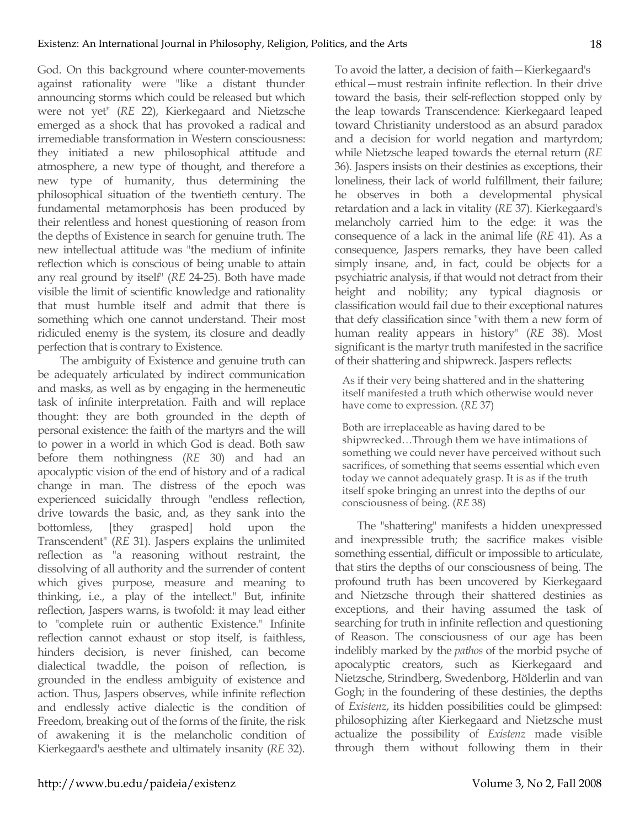God. On this background where counter-movements against rationality were "like a distant thunder announcing storms which could be released but which were not yet" (*RE* 22), Kierkegaard and Nietzsche emerged as a shock that has provoked a radical and irremediable transformation in Western consciousness: they initiated a new philosophical attitude and atmosphere, a new type of thought, and therefore a new type of humanity, thus determining the philosophical situation of the twentieth century. The fundamental metamorphosis has been produced by their relentless and honest questioning of reason from the depths of Existence in search for genuine truth. The new intellectual attitude was "the medium of infinite reflection which is conscious of being unable to attain any real ground by itself" (*RE* 24-25). Both have made visible the limit of scientific knowledge and rationality that must humble itself and admit that there is something which one cannot understand. Their most ridiculed enemy is the system, its closure and deadly perfection that is contrary to Existence.

The ambiguity of Existence and genuine truth can be adequately articulated by indirect communication and masks, as well as by engaging in the hermeneutic task of infinite interpretation. Faith and will replace thought: they are both grounded in the depth of personal existence: the faith of the martyrs and the will to power in a world in which God is dead. Both saw before them nothingness (*RE* 30) and had an apocalyptic vision of the end of history and of a radical change in man. The distress of the epoch was experienced suicidally through "endless reflection, drive towards the basic, and, as they sank into the bottomless, [they grasped] hold upon the Transcendent" (*RE* 31). Jaspers explains the unlimited reflection as "a reasoning without restraint, the dissolving of all authority and the surrender of content which gives purpose, measure and meaning to thinking, i.e., a play of the intellect." But, infinite reflection, Jaspers warns, is twofold: it may lead either to "complete ruin or authentic Existence." Infinite reflection cannot exhaust or stop itself, is faithless, hinders decision, is never finished, can become dialectical twaddle, the poison of reflection, is grounded in the endless ambiguity of existence and action. Thus, Jaspers observes, while infinite reflection and endlessly active dialectic is the condition of Freedom, breaking out of the forms of the finite, the risk of awakening it is the melancholic condition of Kierkegaard's aesthete and ultimately insanity (*RE* 32). To avoid the latter, a decision of faith—Kierkegaard's ethical—must restrain infinite reflection. In their drive toward the basis, their self-reflection stopped only by the leap towards Transcendence: Kierkegaard leaped toward Christianity understood as an absurd paradox and a decision for world negation and martyrdom; while Nietzsche leaped towards the eternal return (*RE* 36). Jaspers insists on their destinies as exceptions, their loneliness, their lack of world fulfillment, their failure; he observes in both a developmental physical retardation and a lack in vitality (*RE* 37). Kierkegaard's melancholy carried him to the edge: it was the consequence of a lack in the animal life (*RE* 41). As a consequence, Jaspers remarks, they have been called simply insane, and, in fact, could be objects for a psychiatric analysis, if that would not detract from their height and nobility; any typical diagnosis or classification would fail due to their exceptional natures that defy classification since "with them a new form of human reality appears in history" (*RE* 38). Most significant is the martyr truth manifested in the sacrifice of their shattering and shipwreck. Jaspers reflects:

As if their very being shattered and in the shattering itself manifested a truth which otherwise would never have come to expression. (*RE* 37)

Both are irreplaceable as having dared to be shipwrecked…Through them we have intimations of something we could never have perceived without such sacrifices, of something that seems essential which even today we cannot adequately grasp. It is as if the truth itself spoke bringing an unrest into the depths of our consciousness of being. (*RE* 38)

The "shattering" manifests a hidden unexpressed and inexpressible truth; the sacrifice makes visible something essential, difficult or impossible to articulate, that stirs the depths of our consciousness of being. The profound truth has been uncovered by Kierkegaard and Nietzsche through their shattered destinies as exceptions, and their having assumed the task of searching for truth in infinite reflection and questioning of Reason. The consciousness of our age has been indelibly marked by the *pathos* of the morbid psyche of apocalyptic creators, such as Kierkegaard and Nietzsche, Strindberg, Swedenborg, Hölderlin and van Gogh; in the foundering of these destinies, the depths of *Existenz*, its hidden possibilities could be glimpsed: philosophizing after Kierkegaard and Nietzsche must actualize the possibility of *Existenz* made visible through them without following them in their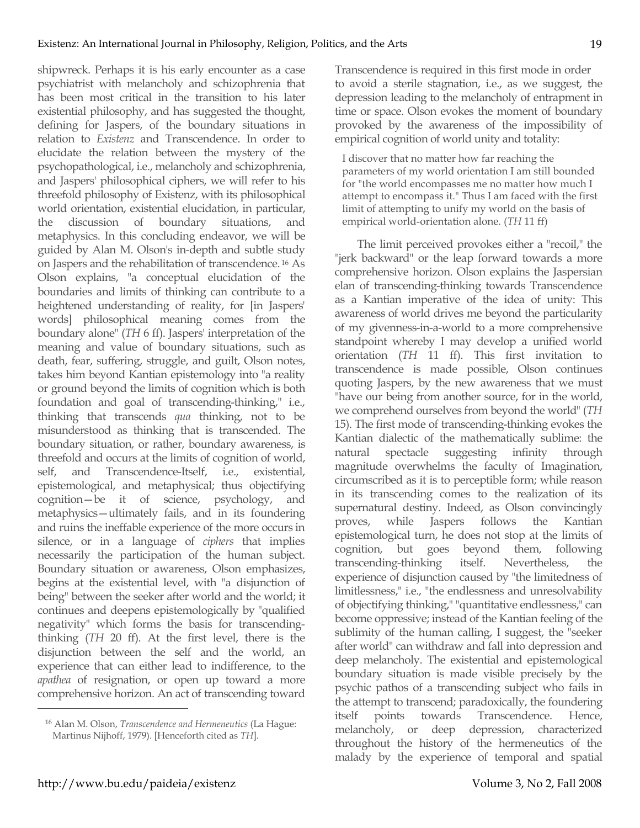shipwreck. Perhaps it is his early encounter as a case psychiatrist with melancholy and schizophrenia that has been most critical in the transition to his later existential philosophy, and has suggested the thought, defining for Jaspers, of the boundary situations in relation to *Existenz* and Transcendence. In order to elucidate the relation between the mystery of the psychopathological, i.e., melancholy and schizophrenia, and Jaspers' philosophical ciphers, we will refer to his threefold philosophy of Existenz, with its philosophical world orientation, existential elucidation, in particular, the discussion of boundary situations, and metaphysics. In this concluding endeavor, we will be guided by Alan M. Olson's in-depth and subtle study on Jaspers and the rehabilitation of transcendence. <sup>16</sup> As Olson explains, "a conceptual elucidation of the boundaries and limits of thinking can contribute to a heightened understanding of reality, for [in Jaspers' words] philosophical meaning comes from the boundary alone" (*TH* 6 ff). Jaspers' interpretation of the meaning and value of boundary situations, such as death, fear, suffering, struggle, and guilt, Olson notes, takes him beyond Kantian epistemology into "a reality or ground beyond the limits of cognition which is both foundation and goal of transcending-thinking," i.e., thinking that transcends *qua* thinking, not to be misunderstood as thinking that is transcended. The boundary situation, or rather, boundary awareness, is threefold and occurs at the limits of cognition of world, self, and Transcendence-Itself, i.e., existential, epistemological, and metaphysical; thus objectifying cognition—be it of science, psychology, and metaphysics—ultimately fails, and in its foundering and ruins the ineffable experience of the more occurs in silence, or in a language of *ciphers* that implies necessarily the participation of the human subject. Boundary situation or awareness, Olson emphasizes, begins at the existential level, with "a disjunction of being" between the seeker after world and the world; it continues and deepens epistemologically by "qualified negativity" which forms the basis for transcendingthinking (*TH* 20 ff). At the first level, there is the disjunction between the self and the world, an experience that can either lead to indifference, to the *apathea* of resignation, or open up toward a more comprehensive horizon. An act of transcending toward

Transcendence is required in this first mode in order to avoid a sterile stagnation, i.e., as we suggest, the depression leading to the melancholy of entrapment in time or space. Olson evokes the moment of boundary provoked by the awareness of the impossibility of empirical cognition of world unity and totality:

I discover that no matter how far reaching the parameters of my world orientation I am still bounded for "the world encompasses me no matter how much I attempt to encompass it." Thus I am faced with the first limit of attempting to unify my world on the basis of empirical world-orientation alone. (*TH* 11 ff)

The limit perceived provokes either a "recoil," the "jerk backward" or the leap forward towards a more comprehensive horizon. Olson explains the Jaspersian elan of transcending-thinking towards Transcendence as a Kantian imperative of the idea of unity: This awareness of world drives me beyond the particularity of my givenness-in-a-world to a more comprehensive standpoint whereby I may develop a unified world orientation (*TH* 11 ff). This first invitation to transcendence is made possible, Olson continues quoting Jaspers, by the new awareness that we must "have our being from another source, for in the world, we comprehend ourselves from beyond the world" (*TH* 15). The first mode of transcending-thinking evokes the Kantian dialectic of the mathematically sublime: the natural spectacle suggesting infinity through magnitude overwhelms the faculty of Imagination, circumscribed as it is to perceptible form; while reason in its transcending comes to the realization of its supernatural destiny. Indeed, as Olson convincingly proves, while Jaspers follows the Kantian epistemological turn, he does not stop at the limits of cognition, but goes beyond them, following transcending-thinking itself. Nevertheless, the experience of disjunction caused by "the limitedness of limitlessness," i.e., "the endlessness and unresolvability of objectifying thinking," "quantitative endlessness," can become oppressive; instead of the Kantian feeling of the sublimity of the human calling, I suggest, the "seeker after world" can withdraw and fall into depression and deep melancholy. The existential and epistemological boundary situation is made visible precisely by the psychic pathos of a transcending subject who fails in the attempt to transcend; paradoxically, the foundering itself points towards Transcendence. Hence, melancholy, or deep depression, characterized throughout the history of the hermeneutics of the malady by the experience of temporal and spatial

<sup>16</sup> Alan M. Olson, *Transcendence and Hermeneutics* (La Hague: Martinus Nijhoff, 1979). [Henceforth cited as *TH*].